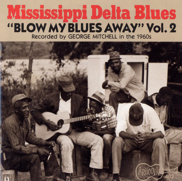# **Mississippi Delta Blues "BLOW MY BLUES AWAY" Vol. 2 Recorded by GEORGE MITCHELL in the 1960s**

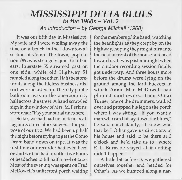### *MISSISSIPPI DELTA BLUES in the 1960s - Vol. 2*

*An Introduction* - *by George Mitchell (1968)*

It was our fifth day in Mississippi. My wife and I were whiling away the time on a bench in the "downtown" section of Como. The town, population 789, was strangely quiet to urban ears. Interstate 55 streamed past on one side, while old Highway 51 rambled along the other. Half the storefronts along the lifeless business district were boarded up. The only public bathroom was in the one-room city hall across the street. A hand scrawled sign in the window of Mrs. M. Perkins' store read: "Pay your burial dues here. "

So far, we had had no luck in locating unrecorded blues singers— the purpose of our trip. We had been up half the night before trying to get the Como Drum Band down on tape. It was the first time our recorder had even been on and we had had to suffer five hours of headaches to fill half a reel of tape. Most of the evening was spent on Fred McDowell's unlit front porch waiting

for the members of the band, watching the headlights as they crept by on the highway, hoping they might turn into the field in front of the house and head toward us. It was past midnight when the outdoor recording session finally got underway. And three hours more before the drums were lying on the ground among the lard buckets in which Annie Mae McDowell had planted sunflowers. Then Othar Turner, one of the drummers, walked over and propped his leg on the porch where I was sitting. "If you want a man who can flat lay down the blues," he said nonchalantly, "I know who that be." Othar gave us directions to his house and said to be there at 3 o'clock and he'd take us to "where R. L. Burnside stayed at if nothing didn't happen."

A little bit before 3, we gathered ourselves together and headed for Othar's. As we bumped along a nar-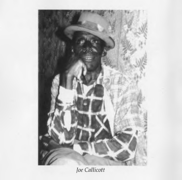

*Joe Callicott*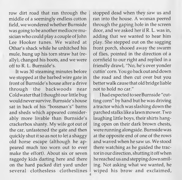row dirt road that ran through the middle of a seemingly endless cotton field, we wondered whether Burnside was going to be another mediocre musician who could play a couple of John Lee Hooker tunes. We waited at Othar's shack while he unhitched his mule, hung up his torn straw hat (really), changed his boots, and we were off to R. L. Burnside's.

It was 30 steaming minutes before we stopped at the barbed wire gate in front of Burnside's house after a drive through the backwoods near Cold water that I thought our little bug would never survive. Burnside's house sat in back of his "bossman's" barns and sheds which appeared considerably more livable than Burnside's crackerbox shanty. My wife got out of the car, unfastened the gate and then quickly shut it so as not to let a shaggy old horse escape (although he appeared much too worn out to ever make the effort). About six or seven raggedy kids darting here and there on the hard packed dirt yard under several clothesless clotheslines stopped dead when they saw us and ran into the house. A woman peered through the gaping hole in the screen door, and we asked her if R. L. was in, adding that we wanted to hear him play. She stepped out on the sagging front porch, shooed away the swarm of flies, pointed in the direction of a cornfield to our right and replied in a friendly drawl, "No, he's over yonder cuttin' corn. You go back out and down the road and then cut over but you better walk cause that old bridge liable not to hold no car. "

I had expected to see Burnside "cutting corn" by hand but he was driving a tractor which was slashing down the parched stalks like a lawn mower. Two laughing little boys, their shirts hanging open on their dark brown chests, were running alongside. Burnside was at the opposite end of one of the rows and waved when he saw us. We stood there watching as he guided the tractor in our direction, shutting it off when he reached us and stepping down smiling. Not asking what we wanted, he wiped his brow and exclaimed,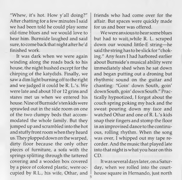"Whew, it's hot. How y'all doing?" After chatting for a few minutes I said we had been told he could play some old-time blues and we would love to hear him. Burnside laughed and said sure, to come back that night after he'd finished work.

It was dark when we were again winding along the roads back to his house, the night hushed except for the chirping of the katydids. Finally, we saw a dim light burning off to the right and we judged it could be R. L.'s. We were late and about 10 or 12 grins and stares met us when we entered his house. Nine of Burnside's ten kids were sprawled out in the side room on one of the two clumpy beds that accommodated the whole family. But they jumped up and scrambled into the hot and stuffy front room when they heard us. They plopped down on the warped, dirty floor because the only other pieces of furniture, a sofa with the springs splitting through the tattered covering and a wooden box covered by a piece of colored plastic, were occupied by R.L., his wife, Othar, and

friends who had come over for the affair. But spaces were quickly made for us and beer was offered.

We were anxious to hear some blues but had to wait while R. L. scraped down our wound little-E string— he said the string has to be slick for "choking." Any fears I had harbored earlier about Burnside's musical ability were immediately shed when he sat down and began putting out a droning but rhythmic sound on the guitar and chanting: "Goin' down South, goin' down South, goin' down South. " Practically hypnotized, I forgot about the couch spring poking my back and the sweat pouring down my face and watched Othar and one of R. L.'s kids snap their fingers and stomp the floor in an improvised dance to the continuous, rolling rhythm. When the song was over, I whipped out my tape recorder. And the music that played late into that night is what you hear on this CD.

It was several days later, on a Saturday, when we rolled into the courthouse square in Hernando, just north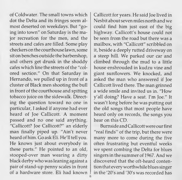of Coldwater. The small towns which dot the Delta and its fringes seem almost deserted on weekdays. But "going into town" on Saturday is the major recreation for the men, and the streets and cafes are filled. Some play checkers on the courthouse lawn, some sit on benches outside the barbershop, and others get drunk in the shoddy cafes which line the streets of the "colored section." On that Saturday in Hernando, we pulled up in front of a cluster of Black men shooting the bull in front of the courthouse and spitting tobacco juice on the sidewalk. Directing the question toward no one in particular, I asked if anyone had ever heard of Joe Callicott. A moment passed and no one said anything. "Callicott? Joe Callicott?" an elderly man finally piped up. "Ain't never heard of him. Go ask Eli. He'll tell you. He knows just about everybody in these parts." He pointed to an old, stooped-over man wearing a dirty black derby who was leaning against a pair of stand-up penny scales in front of a hardware store. Eli had known

Callicott for years. He said Joe lived in Nesbit about seven miles north and we could find him just east of the big highway. Callicott's house could not be seen from the road but there was a mailbox, with "Callicott" scribbled on it, beside a deeply rutted driveway on a steep hill. We parked our car and climbed through the mud to a little house enshrouded in kudzu vine and giant sunflowers. We knocked, and asked the man who answered if Joe Callicott lived there. The man grinned a wide smile and invited us in. "How y'all doing? Have a seat. I'm Joe." It wasn't long before he was putting out the old songs that most people have heard only on records, the songs you hear on this CD.

Burnside and Callicott were our first "real finds" of the trip, but there were many more to come during the five often frustrating but eventful weeks we spent combing the Delta for blues singers in the summer of 1967. And we discovered that the oft-heard contention that every worthwhile blues singer in the '20's and '30's was recorded has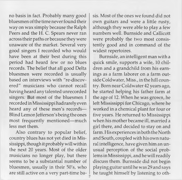no basis in fact. Probably many good bluesmen of the time never found their way on wax simply because the Ralph Peers and the H. C. Spears never ran across their paths or because they were unaware of the market. Several very good singers I recorded who would have been at their best during this period had heard few or no blues records. The belief that all good Delta bluesmen were recorded is usually based on interviews with "re-discovered" musicians who cannot recall having heard any talented unrecorded singers. But most of the bluesmen 1 recorded in Mississippi had rarely even heard any of these men's records— Blind Lemon Jefferson's being the ones most frequently mentioned—much less met them.

Also contrary to popular belief, country blues has not yet died in Mississippi, though it probably will within the next 20 years. Most of the older musicians no longer play, but there seems to be a substantial number of bluesmen, usually in their 50's, who are still active on a very part-time basis. Most of the ones we found did not own guitars and were a little rusty, although they were able to play a few numbers well. Burnside and Callicott were probably the two most consistently good and in command of the widest repertoires.

Burnside, an intelligent man with a quick smile, supports a wife, 10 children and a grandchild from his earnings as a farm laborer on a farm outside Coldwater, Miss., in the hill country. Born near Coldwater 42 years ago, he started helping his father farm at the age of 12. When he was grown, he left Mississippi for Chicago, where he worked in a chemical plant for four or five years. He returned to Mississippi when his mother became ill, married a girl there, and decided to stay on and farm. His experiences in both the North and South, coupled with his own natural intelligence, have given him an unusual perception of the social problems in Mississippi, and he will readily discuss them. Burnside did not begin playing guitar until he was 29 and says he taught himself by listening to oth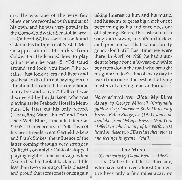ers. He was one of the very few bluesmen we recorded with a guitar of his own, and he was very popular in the Como-Coldwater-Senatobia area.

Callicott, 67, lives with his wife and sister in his birthplace of Nesbit, Mississippi, about 14 miles from Coldwater. He learned how to play guitar when he was 15. "I'd stand around and look, you know," he recalls. "Just look at 'em and listen and go ahead on like I'm not paying 'em no attention. I'd catch it. I'd come home to my box and play it." Callicott was discovered by Jim Jackson, who was playing at the Peabody Hotel in Memphis. He later cut his only record, ("Traveling Mama Blues" and "Fare Thee Well Blues," included here as #10 & 11) in February of 1930. Two of his best friends were Garfield Akers and Frank Stokes, the influence of the latter coming through very strong in Callicott's own style. Callicott stopped playing eight or nine years ago when Akers died but took it back up a little less than two years ago. He is pleased and proud that someone is once again

taking interest in him and his music, and he seems to get as big a kick out of performing as his audience does out of listening. Before the last note of a song fades away, Joe often chuckles and proclaims, "That sound pretty good, don't it?" Last time we were there, in April of 1968, he had a student to brag about, a 10-year-old white boy from down the road who brought his guitar to Joe's almost every day to learn from one of the best of the living masters of a dying musical form.

*Notes adapted from B low My Blues A w ay by George Mitchell (Originally published by Louisiana State University P ress-Baton Rouge, La. (1971); and now available from DeCapo Press* - *New York (1984)) in which many of the performers heard on these two CDs relate their stones and feelings in greater detail.*

### The Music

*(Comments by David Evans* - *1968)*

Joe Callicott and R. L. Burnside, who have both lived almost their entire lives only a few miles apart on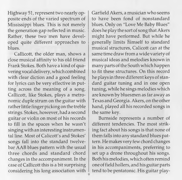Highway 51, represent two nearly opposite ends of the varied spectrum of Mississippi blues. This is not merely the generation gap reflected in music. Rather, these two men have developed quite different approaches to blues.

Callicott, the older man, shows a close musical affinity to his old friend Frank Stokes. Both have a kind of quavering vocal delivery, which combined with clear diction and a good feeling for lyrics can be very effective in putting across the meaning of a song. Callicott, like Stokes, plays a metronomic duple strum on the guitar with rather little finger picking on the treble strings. Stokes, however, had a second guitar or violin on most of his records to fill in the spaces when he wasn't singing with an interesting instrumental line. Most of Calicott's and Stokes' songs fall into the standard twelvebar AAB blues pattern with the usual three chords and standard chord changes in the accompaniment. In the case of Callicott this is a bit surprising considering his long association with Garfield Akers, a musician who seems to have been fond of nonstandard blues. Only on "Love Me Baby Blues" does he play the sort of song that Akers might have performed. But while he generally limits himself to standard musical structures, Calicott can at the same time draw from a wide variety of musical ideas and melodies known in many parts of the South which happen to fit these structures. On this record he plays in three different keys of standard guitar tuning and in one open tuning, while he sings melodies which are known by bluesmen as far away as Texas and Georgia. Akers, on the other hand, played all his recorded songs in the same key.

Burnside represents a number of different tendencies. The most striking fact about his songs is that none of them falls into any standard blues pattern. He makes very few chord changes in his accompaniments, preferring to set up a drone throughout his songs. Both his melodies, which often remind one of field hollers, and his guitar parts tend to be pentatonic. His guitar play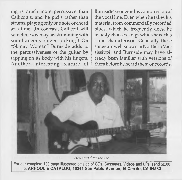ing is much more percussive than Callicott's, and he picks rather than strums, playing only one note or chord at a time. (In contrast, Callicott will sometimes overlay his strumming with simultaneous finger picking.) On "Skinny Woman" Burnside adds to the percussiveness of the guitar by tapping on its body with his fingers. Another interesting feature of Burnside's songs is his compression of the vocal line. Even when he takes his material from commercially recorded blues, which he frequently does, he usually chooses songs which have this same characteristic. Generally these songs are well known in Northern Mississippi, and Burnside may have already been familiar with versions of them before he heard them on records.



*Houston Stackhouse*

For our complete 100-page illustrated catalog of CDs, Cassettes, Videos and LPs, send \$2. 00 to: **ARHOOLIE CATALOG, 10341 San Pablo Avenue, El Cerrito, CA 94530**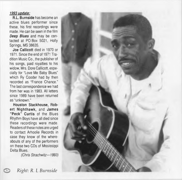#### *1993 update:*

**R.L. Burnside** has become an active blues performer since these, his first recordings were made. He can be seen in the film *Deep Blues* and may be contacted at PO Box 5021, Holly Springs, MS 38635.

**Joe Callicott** died in 1970 or 1971. Since the end of 1971 Tradition Music Co., the publisher of his songs, paid royalties to his widow, Mrs. Dore Callicott, especially for "Love Me Baby Blues" which Ry Cooder had by then recorded as "France Chance. " The last correspondence we had from her was in 1983. All letters since 1989 have been returned as "unknown. "

**Houston Stackhouse, Robert Nighthawk,** and **James "Peck" Curtis** of the Blues Rhythm Boys have all died since these recordings were made. Readers of these notes are urged to contact Arhoolie Records in case they know of the whereabouts of any of the performers on these two CDs of Mississippi Delta Blues.

*(Chris Strachwitz— 1993)*



i© *Right: R. L Burnside*